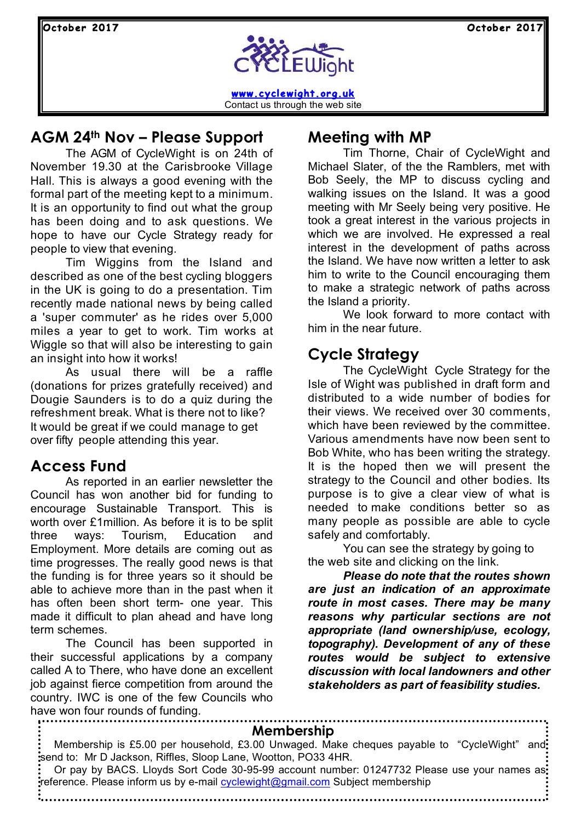

**www.cyclewight.org.uk** Contact us through the web site

## **AGM 24th Nov – Please Support**

The AGM of CycleWight is on 24th of November 19.30 at the Carisbrooke Village Hall. This is always a good evening with the formal part of the meeting kept to a minimum. It is an opportunity to find out what the group has been doing and to ask questions. We hope to have our Cycle Strategy ready for people to view that evening.

Tim Wiggins from the Island and described as one of the best cycling bloggers in the UK is going to do a presentation. Tim recently made national news by being called a 'super commuter' as he rides over 5,000 miles a year to get to work. Tim works at Wiggle so that will also be interesting to gain an insight into how it works!

As usual there will be a raffle (donations for prizes gratefully received) and Dougie Saunders is to do a quiz during the refreshment break. What is there not to like? It would be great if we could manage to get over fifty people attending this year.

### **Access Fund**

As reported in an earlier newsletter the Council has won another bid for funding to encourage Sustainable Transport. This is worth over £1million. As before it is to be split three ways: Tourism, Education and Employment. More details are coming out as time progresses. The really good news is that the funding is for three years so it should be able to achieve more than in the past when it has often been short term- one year. This made it difficult to plan ahead and have long term schemes.

The Council has been supported in their successful applications by a company called A to There, who have done an excellent job against fierce competition from around the country. IWC is one of the few Councils who have won four rounds of funding.

### **Meeting with MP**

Tim Thorne, Chair of CycleWight and Michael Slater, of the the Ramblers, met with Bob Seely, the MP to discuss cycling and walking issues on the Island. It was a good meeting with Mr Seely being very positive. He took a great interest in the various projects in which we are involved. He expressed a real interest in the development of paths across the Island. We have now written a letter to ask him to write to the Council encouraging them to make a strategic network of paths across the Island a priority.

We look forward to more contact with him in the near future.

## **Cycle Strategy**

The CycleWight Cycle Strategy for the Isle of Wight was published in draft form and distributed to a wide number of bodies for their views. We received over 30 comments, which have been reviewed by the committee. Various amendments have now been sent to Bob White, who has been writing the strategy. It is the hoped then we will present the strategy to the Council and other bodies. Its purpose is to give a clear view of what is needed to make conditions better so as many people as possible are able to cycle safely and comfortably.

You can see the strategy by going to the web site and clicking on the link.

*Please do note that the routes shown are just an indication of an approximate route in most cases. There may be many reasons why particular sections are not appropriate (land ownership/use, ecology, topography). Development of any of these routes would be subject to extensive discussion with local landowners and other stakeholders as part of feasibility studies.*

| Membership                                                                                                                                                                                   |
|----------------------------------------------------------------------------------------------------------------------------------------------------------------------------------------------|
| Membership is £5.00 per household, £3.00 Unwaged. Make cheques payable to "CycleWight" and:<br>send to: Mr D Jackson, Riffles, Sloop Lane, Wootton, PO33 4HR.                                |
| $\frac{1}{2}$ Or pay by BACS. Lloyds Sort Code 30-95-99 account number: 01247732 Please use your names as:<br>:reference. Please inform us by e-mail cyclewight@gmail.com Subject membership |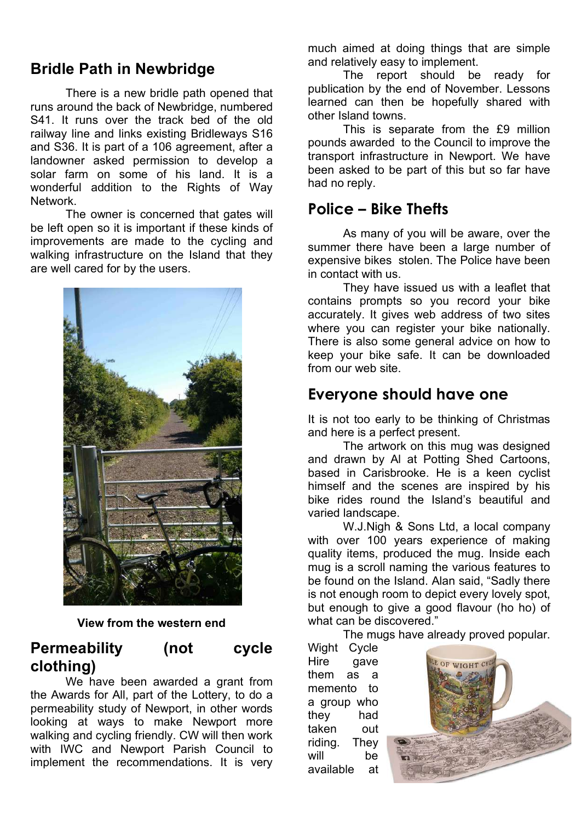## **Bridle Path in Newbridge**

There is a new bridle path opened that runs around the back of Newbridge, numbered S41. It runs over the track bed of the old railway line and links existing Bridleways S16 and S36. It is part of a 106 agreement, after a landowner asked permission to develop a solar farm on some of his land. It is a wonderful addition to the Rights of Way Network.

The owner is concerned that gates will be left open so it is important if these kinds of improvements are made to the cycling and walking infrastructure on the Island that they are well cared for by the users.



#### **View from the western end**

## **Permeability (not cycle clothing)**

We have been awarded a grant from the Awards for All, part of the Lottery, to do a permeability study of Newport, in other words looking at ways to make Newport more walking and cycling friendly. CW will then work with IWC and Newport Parish Council to implement the recommendations. It is very much aimed at doing things that are simple and relatively easy to implement.

The report should be ready for publication by the end of November. Lessons learned can then be hopefully shared with other Island towns.

This is separate from the £9 million pounds awarded to the Council to improve the transport infrastructure in Newport. We have been asked to be part of this but so far have had no reply.

# **Police – Bike Thefts**

As many of you will be aware, over the summer there have been a large number of expensive bikes stolen. The Police have been in contact with us.

They have issued us with a leaflet that contains prompts so you record your bike accurately. It gives web address of two sites where you can register your bike nationally. There is also some general advice on how to keep your bike safe. It can be downloaded from our web site.

#### **Everyone should have one**

It is not too early to be thinking of Christmas and here is a perfect present.

The artwork on this mug was designed and drawn by Al at Potting Shed Cartoons, based in Carisbrooke. He is a keen cyclist himself and the scenes are inspired by his bike rides round the Island's beautiful and varied landscape.

W.J.Nigh & Sons Ltd, a local company with over 100 years experience of making quality items, produced the mug. Inside each mug is a scroll naming the various features to be found on the Island. Alan said, "Sadly there is not enough room to depict every lovely spot, but enough to give a good flavour (ho ho) of what can be discovered."

The mugs have already proved popular.

Wight Cycle Hire gave them as a memento to a group who they had taken out riding. They will be available at

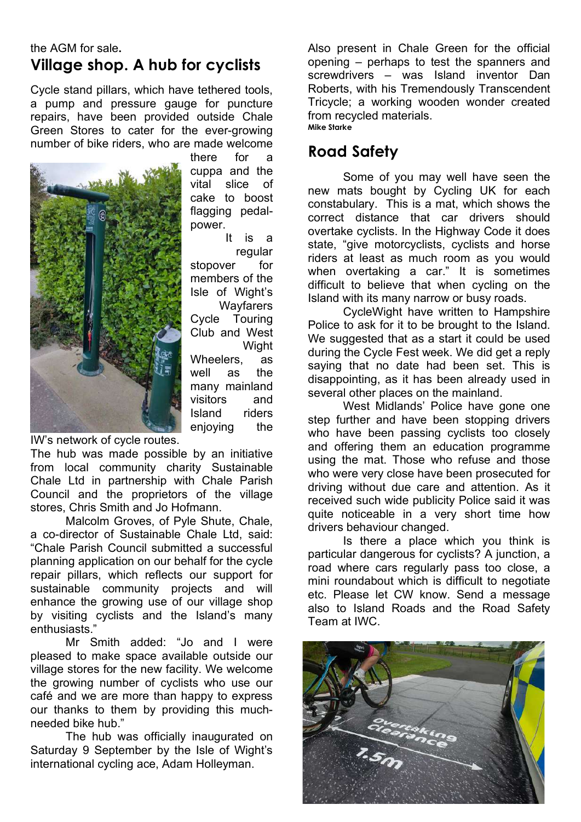#### the AGM for sale**. Village shop. A hub for cyclists**

Cycle stand pillars, which have tethered tools, a pump and pressure gauge for puncture repairs, have been provided outside Chale Green Stores to cater for the ever-growing number of bike riders, who are made welcome



there for a cuppa and the vital slice of cake to boost flagging pedalpower.

It is a regular stopover for members of the Isle of Wight's **Wayfarers** Cycle Touring Club and West **Wight** Wheelers, as well as the many mainland visitors and Island riders enjoying the

IW's network of cycle routes.

The hub was made possible by an initiative from local community charity Sustainable Chale Ltd in partnership with Chale Parish Council and the proprietors of the village stores, Chris Smith and Jo Hofmann.

Malcolm Groves, of Pyle Shute, Chale, a co-director of Sustainable Chale Ltd, said: "Chale Parish Council submitted a successful planning application on our behalf for the cycle repair pillars, which reflects our support for sustainable community projects and will enhance the growing use of our village shop by visiting cyclists and the Island's many enthusiasts."

Mr Smith added: "Jo and I were pleased to make space available outside our village stores for the new facility. We welcome the growing number of cyclists who use our café and we are more than happy to express our thanks to them by providing this muchneeded bike hub."

The hub was officially inaugurated on Saturday 9 September by the Isle of Wight's international cycling ace, Adam Holleyman.

Also present in Chale Green for the official opening – perhaps to test the spanners and screwdrivers – was Island inventor Dan Roberts, with his Tremendously Transcendent Tricycle; a working wooden wonder created from recycled materials. **Mike Starke**

## **Road Safety**

Some of you may well have seen the new mats bought by Cycling UK for each constabulary. This is a mat, which shows the correct distance that car drivers should overtake cyclists. In the Highway Code it does state, "give motorcyclists, cyclists and horse riders at least as much room as you would when overtaking a car." It is sometimes difficult to believe that when cycling on the Island with its many narrow or busy roads.

CycleWight have written to Hampshire Police to ask for it to be brought to the Island. We suggested that as a start it could be used during the Cycle Fest week. We did get a reply saying that no date had been set. This is disappointing, as it has been already used in several other places on the mainland.

West Midlands' Police have gone one step further and have been stopping drivers who have been passing cyclists too closely and offering them an education programme using the mat. Those who refuse and those who were very close have been prosecuted for driving without due care and attention. As it received such wide publicity Police said it was quite noticeable in a very short time how drivers behaviour changed.

Is there a place which you think is particular dangerous for cyclists? A junction, a road where cars regularly pass too close, a mini roundabout which is difficult to negotiate etc. Please let CW know. Send a message also to Island Roads and the Road Safety Team at IWC.